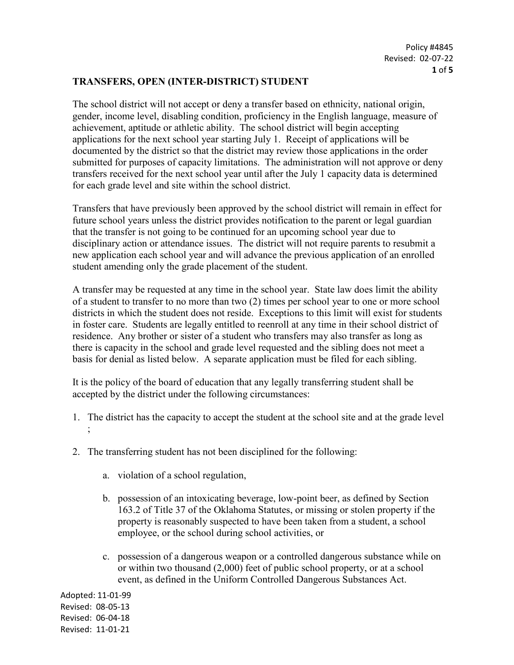## **TRANSFERS, OPEN (INTER-DISTRICT) STUDENT**

The school district will not accept or deny a transfer based on ethnicity, national origin, gender, income level, disabling condition, proficiency in the English language, measure of achievement, aptitude or athletic ability. The school district will begin accepting applications for the next school year starting July 1. Receipt of applications will be documented by the district so that the district may review those applications in the order submitted for purposes of capacity limitations. The administration will not approve or deny transfers received for the next school year until after the July 1 capacity data is determined for each grade level and site within the school district.

Transfers that have previously been approved by the school district will remain in effect for future school years unless the district provides notification to the parent or legal guardian that the transfer is not going to be continued for an upcoming school year due to disciplinary action or attendance issues. The district will not require parents to resubmit a new application each school year and will advance the previous application of an enrolled student amending only the grade placement of the student.

A transfer may be requested at any time in the school year. State law does limit the ability of a student to transfer to no more than two (2) times per school year to one or more school districts in which the student does not reside. Exceptions to this limit will exist for students in foster care. Students are legally entitled to reenroll at any time in their school district of residence. Any brother or sister of a student who transfers may also transfer as long as there is capacity in the school and grade level requested and the sibling does not meet a basis for denial as listed below. A separate application must be filed for each sibling.

It is the policy of the board of education that any legally transferring student shall be accepted by the district under the following circumstances:

- 1. The district has the capacity to accept the student at the school site and at the grade level ;
- 2. The transferring student has not been disciplined for the following:
	- a. violation of a school regulation,
	- b. possession of an intoxicating beverage, low-point beer, as defined by [Section](https://www.oscn.net/applications/oscn/DeliverDocument.asp?citeid=77990)  [163.2](https://www.oscn.net/applications/oscn/DeliverDocument.asp?citeid=77990) of Title 37 of the Oklahoma Statutes, or missing or stolen property if the property is reasonably suspected to have been taken from a student, a school employee, or the school during school activities, or
	- c. possession of a dangerous weapon or a controlled dangerous substance while on or within two thousand (2,000) feet of public school property, or at a school event, as defined in the Uniform Controlled Dangerous Substances Act.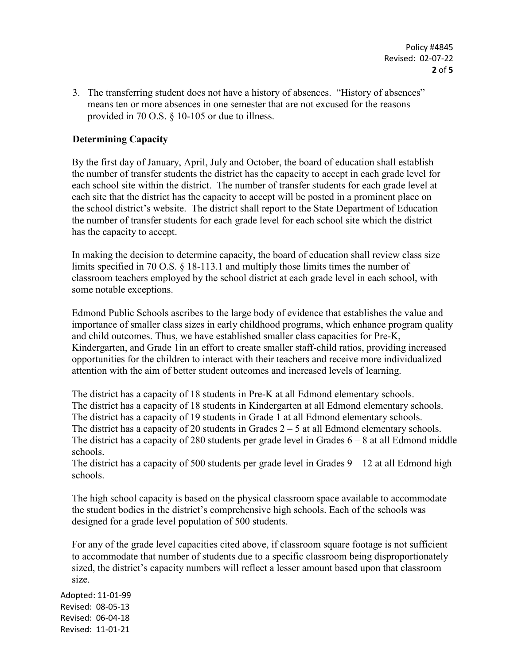3. The transferring student does not have a history of absences. "History of absences" means ten or more absences in one semester that are not excused for the reasons provided in 70 O.S. § 10-105 or due to illness.

## **Determining Capacity**

By the first day of January, April, July and October, the board of education shall establish the number of transfer students the district has the capacity to accept in each grade level for each school site within the district. The number of transfer students for each grade level at each site that the district has the capacity to accept will be posted in a prominent place on the school district's website. The district shall report to the State Department of Education the number of transfer students for each grade level for each school site which the district has the capacity to accept.

In making the decision to determine capacity, the board of education shall review class size limits specified in 70 O.S. § 18-113.1 and multiply those limits times the number of classroom teachers employed by the school district at each grade level in each school, with some notable exceptions.

Edmond Public Schools ascribes to the large body of evidence that establishes the value and importance of smaller class sizes in early childhood programs, which enhance program quality and child outcomes. Thus, we have established smaller class capacities for Pre-K, Kindergarten, and Grade 1in an effort to create smaller staff-child ratios, providing increased opportunities for the children to interact with their teachers and receive more individualized attention with the aim of better student outcomes and increased levels of learning.

The district has a capacity of 18 students in Pre-K at all Edmond elementary schools. The district has a capacity of 18 students in Kindergarten at all Edmond elementary schools. The district has a capacity of 19 students in Grade 1 at all Edmond elementary schools. The district has a capacity of 20 students in Grades  $2 - 5$  at all Edmond elementary schools. The district has a capacity of 280 students per grade level in Grades  $6 - 8$  at all Edmond middle schools.

The district has a capacity of 500 students per grade level in Grades  $9 - 12$  at all Edmond high schools.

The high school capacity is based on the physical classroom space available to accommodate the student bodies in the district's comprehensive high schools. Each of the schools was designed for a grade level population of 500 students.

For any of the grade level capacities cited above, if classroom square footage is not sufficient to accommodate that number of students due to a specific classroom being disproportionately sized, the district's capacity numbers will reflect a lesser amount based upon that classroom size.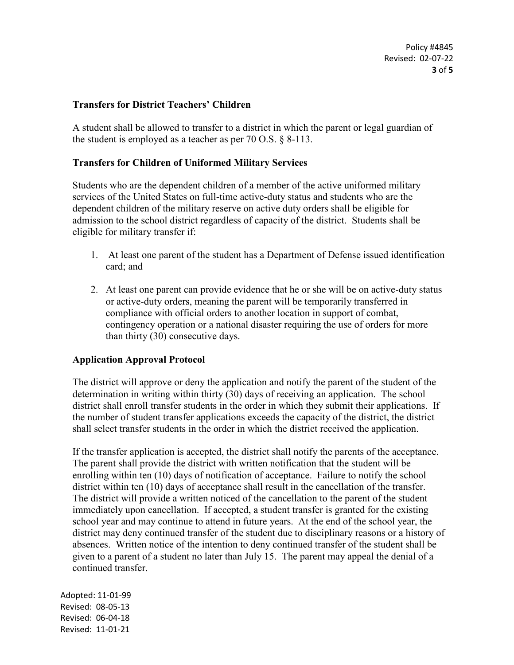Policy #4845 Revised: 02-07-22 **3** of **5**

### **Transfers for District Teachers' Children**

A student shall be allowed to transfer to a district in which the parent or legal guardian of the student is employed as a teacher as per 70 O.S. § 8-113.

#### **Transfers for Children of Uniformed Military Services**

Students who are the dependent children of a member of the active uniformed military services of the United States on full-time active-duty status and students who are the dependent children of the military reserve on active duty orders shall be eligible for admission to the school district regardless of capacity of the district. Students shall be eligible for military transfer if:

- 1. At least one parent of the student has a Department of Defense issued identification card; and
- 2. At least one parent can provide evidence that he or she will be on active-duty status or active-duty orders, meaning the parent will be temporarily transferred in compliance with official orders to another location in support of combat, contingency operation or a national disaster requiring the use of orders for more than thirty (30) consecutive days.

### **Application Approval Protocol**

The district will approve or deny the application and notify the parent of the student of the determination in writing within thirty (30) days of receiving an application. The school district shall enroll transfer students in the order in which they submit their applications. If the number of student transfer applications exceeds the capacity of the district, the district shall select transfer students in the order in which the district received the application.

If the transfer application is accepted, the district shall notify the parents of the acceptance. The parent shall provide the district with written notification that the student will be enrolling within ten (10) days of notification of acceptance. Failure to notify the school district within ten (10) days of acceptance shall result in the cancellation of the transfer. The district will provide a written noticed of the cancellation to the parent of the student immediately upon cancellation. If accepted, a student transfer is granted for the existing school year and may continue to attend in future years. At the end of the school year, the district may deny continued transfer of the student due to disciplinary reasons or a history of absences. Written notice of the intention to deny continued transfer of the student shall be given to a parent of a student no later than July 15. The parent may appeal the denial of a continued transfer.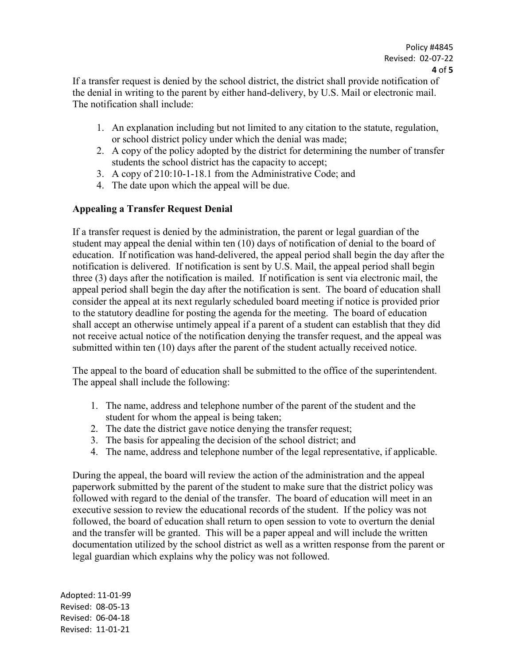If a transfer request is denied by the school district, the district shall provide notification of the denial in writing to the parent by either hand-delivery, by U.S. Mail or electronic mail. The notification shall include:

- 1. An explanation including but not limited to any citation to the statute, regulation, or school district policy under which the denial was made;
- 2. A copy of the policy adopted by the district for determining the number of transfer students the school district has the capacity to accept;
- 3. A copy of 210:10-1-18.1 from the Administrative Code; and
- 4. The date upon which the appeal will be due.

# **Appealing a Transfer Request Denial**

If a transfer request is denied by the administration, the parent or legal guardian of the student may appeal the denial within ten (10) days of notification of denial to the board of education. If notification was hand-delivered, the appeal period shall begin the day after the notification is delivered. If notification is sent by U.S. Mail, the appeal period shall begin three (3) days after the notification is mailed. If notification is sent via electronic mail, the appeal period shall begin the day after the notification is sent. The board of education shall consider the appeal at its next regularly scheduled board meeting if notice is provided prior to the statutory deadline for posting the agenda for the meeting. The board of education shall accept an otherwise untimely appeal if a parent of a student can establish that they did not receive actual notice of the notification denying the transfer request, and the appeal was submitted within ten (10) days after the parent of the student actually received notice.

The appeal to the board of education shall be submitted to the office of the superintendent. The appeal shall include the following:

- 1. The name, address and telephone number of the parent of the student and the student for whom the appeal is being taken;
- 2. The date the district gave notice denying the transfer request;
- 3. The basis for appealing the decision of the school district; and
- 4. The name, address and telephone number of the legal representative, if applicable.

During the appeal, the board will review the action of the administration and the appeal paperwork submitted by the parent of the student to make sure that the district policy was followed with regard to the denial of the transfer. The board of education will meet in an executive session to review the educational records of the student. If the policy was not followed, the board of education shall return to open session to vote to overturn the denial and the transfer will be granted. This will be a paper appeal and will include the written documentation utilized by the school district as well as a written response from the parent or legal guardian which explains why the policy was not followed.